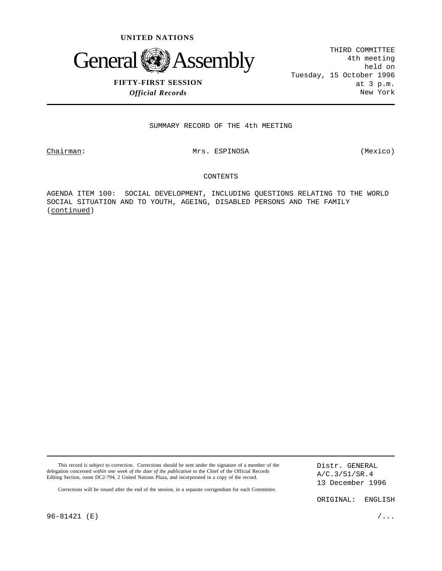



## **FIFTY-FIRST SESSION** *Official Records*

THIRD COMMITTEE 4th meeting held on Tuesday, 15 October 1996 at 3 p.m. New York

SUMMARY RECORD OF THE 4th MEETING

Chairman: Mrs. ESPINOSA (Mexico)

## CONTENTS

AGENDA ITEM 100: SOCIAL DEVELOPMENT, INCLUDING QUESTIONS RELATING TO THE WORLD SOCIAL SITUATION AND TO YOUTH, AGEING, DISABLED PERSONS AND THE FAMILY (continued)

| This record is subject to correction. Corrections should be sent under the signature of a member of the<br>delegation concerned within one week of the date of the publication to the Chief of the Official Records<br>Editing Section, room DC2-794, 2 United Nations Plaza, and incorporated in a copy of the record.<br>Corrections will be issued after the end of the session, in a separate corrigendum for each Committee. |           | Distr. GENERAL<br>A/C.3/51/SR.4<br>13 December 1996 |  |
|-----------------------------------------------------------------------------------------------------------------------------------------------------------------------------------------------------------------------------------------------------------------------------------------------------------------------------------------------------------------------------------------------------------------------------------|-----------|-----------------------------------------------------|--|
|                                                                                                                                                                                                                                                                                                                                                                                                                                   | ORIGINAL: | ENGLISH                                             |  |

96-81421 (E)  $/$ ...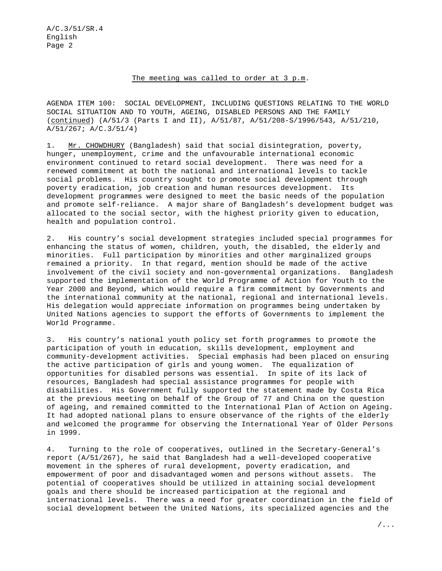## The meeting was called to order at 3 p.m.

AGENDA ITEM 100: SOCIAL DEVELOPMENT, INCLUDING QUESTIONS RELATING TO THE WORLD SOCIAL SITUATION AND TO YOUTH, AGEING, DISABLED PERSONS AND THE FAMILY (continued) (A/51/3 (Parts I and II), A/51/87, A/51/208-S/1996/543, A/51/210, A/51/267; A/C.3/51/4)

1. Mr. CHOWDHURY (Bangladesh) said that social disintegration, poverty, hunger, unemployment, crime and the unfavourable international economic environment continued to retard social development. There was need for a renewed commitment at both the national and international levels to tackle social problems. His country sought to promote social development through poverty eradication, job creation and human resources development. Its development programmes were designed to meet the basic needs of the population and promote self-reliance. A major share of Bangladesh's development budget was allocated to the social sector, with the highest priority given to education, health and population control.

2. His country's social development strategies included special programmes for enhancing the status of women, children, youth, the disabled, the elderly and minorities. Full participation by minorities and other marginalized groups remained a priority. In that regard, mention should be made of the active involvement of the civil society and non-governmental organizations. Bangladesh supported the implementation of the World Programme of Action for Youth to the Year 2000 and Beyond, which would require a firm commitment by Governments and the international community at the national, regional and international levels. His delegation would appreciate information on programmes being undertaken by United Nations agencies to support the efforts of Governments to implement the World Programme.

3. His country's national youth policy set forth programmes to promote the participation of youth in education, skills development, employment and community-development activities. Special emphasis had been placed on ensuring the active participation of girls and young women. The equalization of opportunities for disabled persons was essential. In spite of its lack of resources, Bangladesh had special assistance programmes for people with disabilities. His Government fully supported the statement made by Costa Rica at the previous meeting on behalf of the Group of 77 and China on the question of ageing, and remained committed to the International Plan of Action on Ageing. It had adopted national plans to ensure observance of the rights of the elderly and welcomed the programme for observing the International Year of Older Persons in 1999.

4. Turning to the role of cooperatives, outlined in the Secretary-General's report (A/51/267), he said that Bangladesh had a well-developed cooperative movement in the spheres of rural development, poverty eradication, and empowerment of poor and disadvantaged women and persons without assets. The potential of cooperatives should be utilized in attaining social development goals and there should be increased participation at the regional and international levels. There was a need for greater coordination in the field of social development between the United Nations, its specialized agencies and the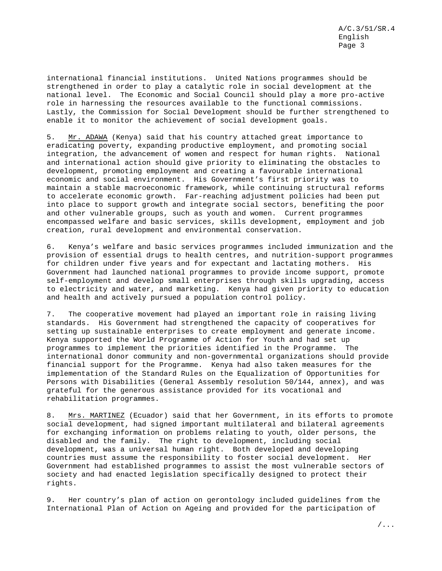international financial institutions. United Nations programmes should be strengthened in order to play a catalytic role in social development at the national level. The Economic and Social Council should play a more pro-active role in harnessing the resources available to the functional commissions. Lastly, the Commission for Social Development should be further strengthened to enable it to monitor the achievement of social development goals.

5. Mr. ADAWA (Kenya) said that his country attached great importance to eradicating poverty, expanding productive employment, and promoting social integration, the advancement of women and respect for human rights. National and international action should give priority to eliminating the obstacles to development, promoting employment and creating a favourable international economic and social environment. His Government's first priority was to maintain a stable macroeconomic framework, while continuing structural reforms to accelerate economic growth. Far-reaching adjustment policies had been put into place to support growth and integrate social sectors, benefiting the poor and other vulnerable groups, such as youth and women. Current programmes encompassed welfare and basic services, skills development, employment and job creation, rural development and environmental conservation.

6. Kenya's welfare and basic services programmes included immunization and the provision of essential drugs to health centres, and nutrition-support programmes for children under five years and for expectant and lactating mothers. His Government had launched national programmes to provide income support, promote self-employment and develop small enterprises through skills upgrading, access to electricity and water, and marketing. Kenya had given priority to education and health and actively pursued a population control policy.

7. The cooperative movement had played an important role in raising living standards. His Government had strengthened the capacity of cooperatives for setting up sustainable enterprises to create employment and generate income. Kenya supported the World Programme of Action for Youth and had set up programmes to implement the priorities identified in the Programme. The international donor community and non-governmental organizations should provide financial support for the Programme. Kenya had also taken measures for the implementation of the Standard Rules on the Equalization of Opportunities for Persons with Disabilities (General Assembly resolution 50/144, annex), and was grateful for the generous assistance provided for its vocational and rehabilitation programmes.

8. Mrs. MARTINEZ (Ecuador) said that her Government, in its efforts to promote social development, had signed important multilateral and bilateral agreements for exchanging information on problems relating to youth, older persons, the disabled and the family. The right to development, including social development, was a universal human right. Both developed and developing countries must assume the responsibility to foster social development. Her Government had established programmes to assist the most vulnerable sectors of society and had enacted legislation specifically designed to protect their rights.

9. Her country's plan of action on gerontology included guidelines from the International Plan of Action on Ageing and provided for the participation of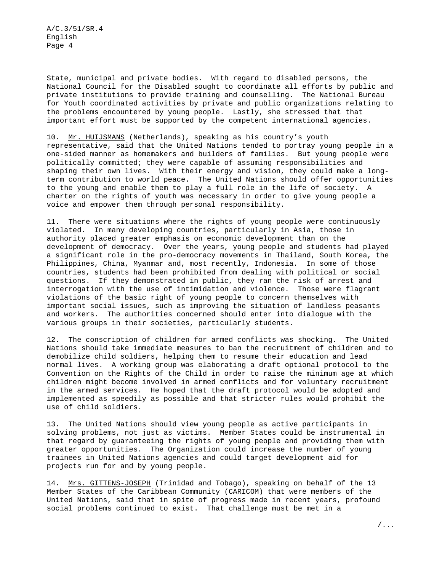State, municipal and private bodies. With regard to disabled persons, the National Council for the Disabled sought to coordinate all efforts by public and private institutions to provide training and counselling. The National Bureau for Youth coordinated activities by private and public organizations relating to the problems encountered by young people. Lastly, she stressed that that important effort must be supported by the competent international agencies.

10. Mr. HUIJSMANS (Netherlands), speaking as his country's youth representative, said that the United Nations tended to portray young people in a one-sided manner as homemakers and builders of families. But young people were politically committed; they were capable of assuming responsibilities and shaping their own lives. With their energy and vision, they could make a longterm contribution to world peace. The United Nations should offer opportunities to the young and enable them to play a full role in the life of society. A charter on the rights of youth was necessary in order to give young people a voice and empower them through personal responsibility.

11. There were situations where the rights of young people were continuously violated. In many developing countries, particularly in Asia, those in authority placed greater emphasis on economic development than on the development of democracy. Over the years, young people and students had played a significant role in the pro-democracy movements in Thailand, South Korea, the Philippines, China, Myanmar and, most recently, Indonesia. In some of those countries, students had been prohibited from dealing with political or social questions. If they demonstrated in public, they ran the risk of arrest and interrogation with the use of intimidation and violence. Those were flagrant violations of the basic right of young people to concern themselves with important social issues, such as improving the situation of landless peasants and workers. The authorities concerned should enter into dialogue with the various groups in their societies, particularly students.

12. The conscription of children for armed conflicts was shocking. The United Nations should take immediate measures to ban the recruitment of children and to demobilize child soldiers, helping them to resume their education and lead normal lives. A working group was elaborating a draft optional protocol to the Convention on the Rights of the Child in order to raise the minimum age at which children might become involved in armed conflicts and for voluntary recruitment in the armed services. He hoped that the draft protocol would be adopted and implemented as speedily as possible and that stricter rules would prohibit the use of child soldiers.

13. The United Nations should view young people as active participants in solving problems, not just as victims. Member States could be instrumental in that regard by guaranteeing the rights of young people and providing them with greater opportunities. The Organization could increase the number of young trainees in United Nations agencies and could target development aid for projects run for and by young people.

14. Mrs. GITTENS-JOSEPH (Trinidad and Tobago), speaking on behalf of the 13 Member States of the Caribbean Community (CARICOM) that were members of the United Nations, said that in spite of progress made in recent years, profound social problems continued to exist. That challenge must be met in a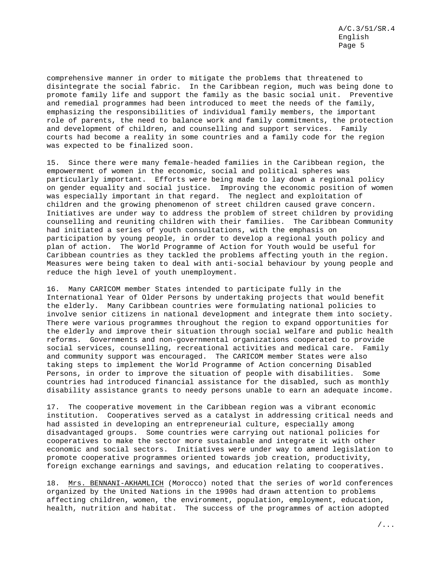comprehensive manner in order to mitigate the problems that threatened to disintegrate the social fabric. In the Caribbean region, much was being done to promote family life and support the family as the basic social unit. Preventive and remedial programmes had been introduced to meet the needs of the family, emphasizing the responsibilities of individual family members, the important role of parents, the need to balance work and family commitments, the protection and development of children, and counselling and support services. Family courts had become a reality in some countries and a family code for the region was expected to be finalized soon.

15. Since there were many female-headed families in the Caribbean region, the empowerment of women in the economic, social and political spheres was particularly important. Efforts were being made to lay down a regional policy on gender equality and social justice. Improving the economic position of women was especially important in that regard. The neglect and exploitation of children and the growing phenomenon of street children caused grave concern. Initiatives are under way to address the problem of street children by providing counselling and reuniting children with their families. The Caribbean Community had initiated a series of youth consultations, with the emphasis on participation by young people, in order to develop a regional youth policy and plan of action. The World Programme of Action for Youth would be useful for Caribbean countries as they tackled the problems affecting youth in the region. Measures were being taken to deal with anti-social behaviour by young people and reduce the high level of youth unemployment.

16. Many CARICOM member States intended to participate fully in the International Year of Older Persons by undertaking projects that would benefit the elderly. Many Caribbean countries were formulating national policies to involve senior citizens in national development and integrate them into society. There were various programmes throughout the region to expand opportunities for the elderly and improve their situation through social welfare and public health reforms. Governments and non-governmental organizations cooperated to provide social services, counselling, recreational activities and medical care. Family and community support was encouraged. The CARICOM member States were also taking steps to implement the World Programme of Action concerning Disabled Persons, in order to improve the situation of people with disabilities. Some countries had introduced financial assistance for the disabled, such as monthly disability assistance grants to needy persons unable to earn an adequate income.

17. The cooperative movement in the Caribbean region was a vibrant economic institution. Cooperatives served as a catalyst in addressing critical needs and had assisted in developing an entrepreneurial culture, especially among disadvantaged groups. Some countries were carrying out national policies for cooperatives to make the sector more sustainable and integrate it with other economic and social sectors. Initiatives were under way to amend legislation to promote cooperative programmes oriented towards job creation, productivity, foreign exchange earnings and savings, and education relating to cooperatives.

18. Mrs. BENNANI-AKHAMLICH (Morocco) noted that the series of world conferences organized by the United Nations in the 1990s had drawn attention to problems affecting children, women, the environment, population, employment, education, health, nutrition and habitat. The success of the programmes of action adopted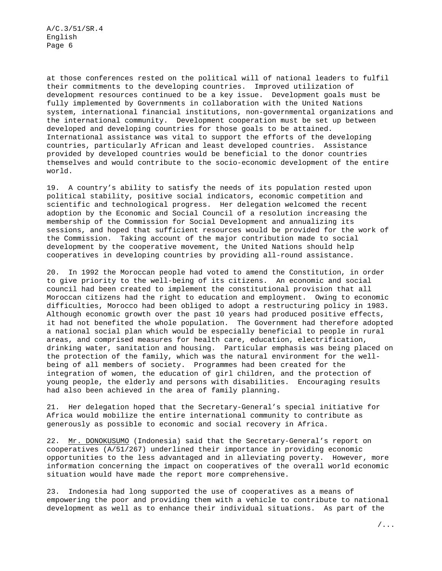at those conferences rested on the political will of national leaders to fulfil their commitments to the developing countries. Improved utilization of development resources continued to be a key issue. Development goals must be fully implemented by Governments in collaboration with the United Nations system, international financial institutions, non-governmental organizations and the international community. Development cooperation must be set up between developed and developing countries for those goals to be attained. International assistance was vital to support the efforts of the developing countries, particularly African and least developed countries. Assistance provided by developed countries would be beneficial to the donor countries themselves and would contribute to the socio-economic development of the entire world.

19. A country's ability to satisfy the needs of its population rested upon political stability, positive social indicators, economic competition and scientific and technological progress. Her delegation welcomed the recent adoption by the Economic and Social Council of a resolution increasing the membership of the Commission for Social Development and annualizing its sessions, and hoped that sufficient resources would be provided for the work of the Commission. Taking account of the major contribution made to social development by the cooperative movement, the United Nations should help cooperatives in developing countries by providing all-round assistance.

20. In 1992 the Moroccan people had voted to amend the Constitution, in order to give priority to the well-being of its citizens. An economic and social council had been created to implement the constitutional provision that all Moroccan citizens had the right to education and employment. Owing to economic difficulties, Morocco had been obliged to adopt a restructuring policy in 1983. Although economic growth over the past 10 years had produced positive effects, it had not benefited the whole population. The Government had therefore adopted a national social plan which would be especially beneficial to people in rural areas, and comprised measures for health care, education, electrification, drinking water, sanitation and housing. Particular emphasis was being placed on the protection of the family, which was the natural environment for the wellbeing of all members of society. Programmes had been created for the integration of women, the education of girl children, and the protection of young people, the elderly and persons with disabilities. Encouraging results had also been achieved in the area of family planning.

21. Her delegation hoped that the Secretary-General's special initiative for Africa would mobilize the entire international community to contribute as generously as possible to economic and social recovery in Africa.

22. Mr. DONOKUSUMO (Indonesia) said that the Secretary-General's report on cooperatives (A/51/267) underlined their importance in providing economic opportunities to the less advantaged and in alleviating poverty. However, more information concerning the impact on cooperatives of the overall world economic situation would have made the report more comprehensive.

23. Indonesia had long supported the use of cooperatives as a means of empowering the poor and providing them with a vehicle to contribute to national development as well as to enhance their individual situations. As part of the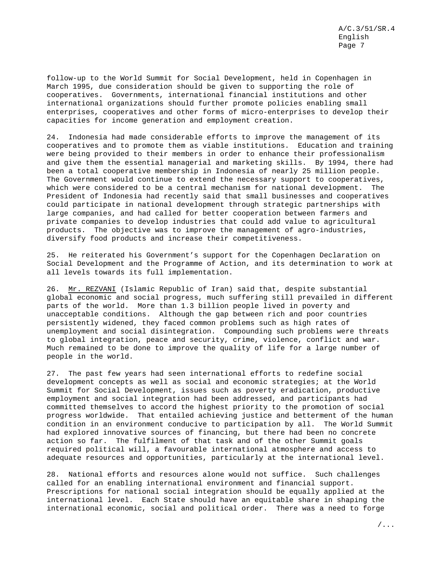follow-up to the World Summit for Social Development, held in Copenhagen in March 1995, due consideration should be given to supporting the role of cooperatives. Governments, international financial institutions and other international organizations should further promote policies enabling small enterprises, cooperatives and other forms of micro-enterprises to develop their capacities for income generation and employment creation.

24. Indonesia had made considerable efforts to improve the management of its cooperatives and to promote them as viable institutions. Education and training were being provided to their members in order to enhance their professionalism and give them the essential managerial and marketing skills. By 1994, there had been a total cooperative membership in Indonesia of nearly 25 million people. The Government would continue to extend the necessary support to cooperatives, which were considered to be a central mechanism for national development. The President of Indonesia had recently said that small businesses and cooperatives could participate in national development through strategic partnerships with large companies, and had called for better cooperation between farmers and private companies to develop industries that could add value to agricultural products. The objective was to improve the management of agro-industries, diversify food products and increase their competitiveness.

25. He reiterated his Government's support for the Copenhagen Declaration on Social Development and the Programme of Action, and its determination to work at all levels towards its full implementation.

26. Mr. REZVANI (Islamic Republic of Iran) said that, despite substantial global economic and social progress, much suffering still prevailed in different parts of the world. More than 1.3 billion people lived in poverty and unacceptable conditions. Although the gap between rich and poor countries persistently widened, they faced common problems such as high rates of unemployment and social disintegration. Compounding such problems were threats to global integration, peace and security, crime, violence, conflict and war. Much remained to be done to improve the quality of life for a large number of people in the world.

27. The past few years had seen international efforts to redefine social development concepts as well as social and economic strategies; at the World Summit for Social Development, issues such as poverty eradication, productive employment and social integration had been addressed, and participants had committed themselves to accord the highest priority to the promotion of social progress worldwide. That entailed achieving justice and betterment of the human condition in an environment conducive to participation by all. The World Summit had explored innovative sources of financing, but there had been no concrete action so far. The fulfilment of that task and of the other Summit goals required political will, a favourable international atmosphere and access to adequate resources and opportunities, particularly at the international level.

28. National efforts and resources alone would not suffice. Such challenges called for an enabling international environment and financial support. Prescriptions for national social integration should be equally applied at the international level. Each State should have an equitable share in shaping the international economic, social and political order. There was a need to forge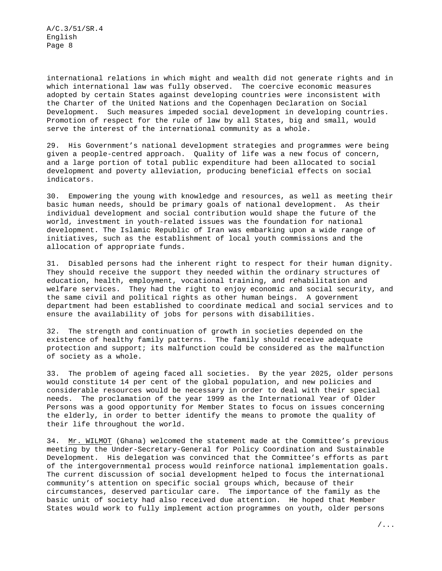international relations in which might and wealth did not generate rights and in which international law was fully observed. The coercive economic measures adopted by certain States against developing countries were inconsistent with the Charter of the United Nations and the Copenhagen Declaration on Social Development. Such measures impeded social development in developing countries. Promotion of respect for the rule of law by all States, big and small, would serve the interest of the international community as a whole.

29. His Government's national development strategies and programmes were being given a people-centred approach. Quality of life was a new focus of concern, and a large portion of total public expenditure had been allocated to social development and poverty alleviation, producing beneficial effects on social indicators.

30. Empowering the young with knowledge and resources, as well as meeting their basic human needs, should be primary goals of national development. As their individual development and social contribution would shape the future of the world, investment in youth-related issues was the foundation for national development. The Islamic Republic of Iran was embarking upon a wide range of initiatives, such as the establishment of local youth commissions and the allocation of appropriate funds.

31. Disabled persons had the inherent right to respect for their human dignity. They should receive the support they needed within the ordinary structures of education, health, employment, vocational training, and rehabilitation and welfare services. They had the right to enjoy economic and social security, and the same civil and political rights as other human beings. A government department had been established to coordinate medical and social services and to ensure the availability of jobs for persons with disabilities.

32. The strength and continuation of growth in societies depended on the existence of healthy family patterns. The family should receive adequate protection and support; its malfunction could be considered as the malfunction of society as a whole.

33. The problem of ageing faced all societies. By the year 2025, older persons would constitute 14 per cent of the global population, and new policies and considerable resources would be necessary in order to deal with their special needs. The proclamation of the year 1999 as the International Year of Older Persons was a good opportunity for Member States to focus on issues concerning the elderly, in order to better identify the means to promote the quality of their life throughout the world.

34. Mr. WILMOT (Ghana) welcomed the statement made at the Committee's previous meeting by the Under-Secretary-General for Policy Coordination and Sustainable Development. His delegation was convinced that the Committee's efforts as part of the intergovernmental process would reinforce national implementation goals. The current discussion of social development helped to focus the international community's attention on specific social groups which, because of their circumstances, deserved particular care. The importance of the family as the basic unit of society had also received due attention. He hoped that Member States would work to fully implement action programmes on youth, older persons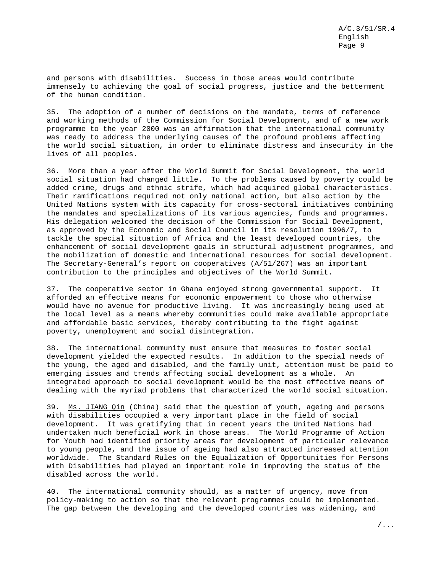and persons with disabilities. Success in those areas would contribute immensely to achieving the goal of social progress, justice and the betterment of the human condition.

35. The adoption of a number of decisions on the mandate, terms of reference and working methods of the Commission for Social Development, and of a new work programme to the year 2000 was an affirmation that the international community was ready to address the underlying causes of the profound problems affecting the world social situation, in order to eliminate distress and insecurity in the lives of all peoples.

36. More than a year after the World Summit for Social Development, the world social situation had changed little. To the problems caused by poverty could be added crime, drugs and ethnic strife, which had acquired global characteristics. Their ramifications required not only national action, but also action by the United Nations system with its capacity for cross-sectoral initiatives combining the mandates and specializations of its various agencies, funds and programmes. His delegation welcomed the decision of the Commission for Social Development, as approved by the Economic and Social Council in its resolution 1996/7, to tackle the special situation of Africa and the least developed countries, the enhancement of social development goals in structural adjustment programmes, and the mobilization of domestic and international resources for social development. The Secretary-General's report on cooperatives (A/51/267) was an important contribution to the principles and objectives of the World Summit.

37. The cooperative sector in Ghana enjoyed strong governmental support. It afforded an effective means for economic empowerment to those who otherwise would have no avenue for productive living. It was increasingly being used at the local level as a means whereby communities could make available appropriate and affordable basic services, thereby contributing to the fight against poverty, unemployment and social disintegration.

38. The international community must ensure that measures to foster social development yielded the expected results. In addition to the special needs of the young, the aged and disabled, and the family unit, attention must be paid to emerging issues and trends affecting social development as a whole. An integrated approach to social development would be the most effective means of dealing with the myriad problems that characterized the world social situation.

39. Ms. JIANG Qin (China) said that the question of youth, ageing and persons with disabilities occupied a very important place in the field of social development. It was gratifying that in recent years the United Nations had undertaken much beneficial work in those areas. The World Programme of Action for Youth had identified priority areas for development of particular relevance to young people, and the issue of ageing had also attracted increased attention worldwide. The Standard Rules on the Equalization of Opportunities for Persons with Disabilities had played an important role in improving the status of the disabled across the world.

40. The international community should, as a matter of urgency, move from policy-making to action so that the relevant programmes could be implemented. The gap between the developing and the developed countries was widening, and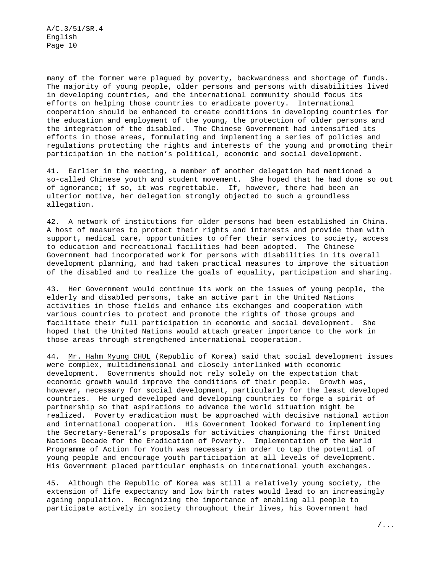many of the former were plagued by poverty, backwardness and shortage of funds. The majority of young people, older persons and persons with disabilities lived in developing countries, and the international community should focus its efforts on helping those countries to eradicate poverty. International cooperation should be enhanced to create conditions in developing countries for the education and employment of the young, the protection of older persons and the integration of the disabled. The Chinese Government had intensified its efforts in those areas, formulating and implementing a series of policies and regulations protecting the rights and interests of the young and promoting their participation in the nation's political, economic and social development.

41. Earlier in the meeting, a member of another delegation had mentioned a so-called Chinese youth and student movement. She hoped that he had done so out of ignorance; if so, it was regrettable. If, however, there had been an ulterior motive, her delegation strongly objected to such a groundless allegation.

42. A network of institutions for older persons had been established in China. A host of measures to protect their rights and interests and provide them with support, medical care, opportunities to offer their services to society, access to education and recreational facilities had been adopted. The Chinese Government had incorporated work for persons with disabilities in its overall development planning, and had taken practical measures to improve the situation of the disabled and to realize the goals of equality, participation and sharing.

43. Her Government would continue its work on the issues of young people, the elderly and disabled persons, take an active part in the United Nations activities in those fields and enhance its exchanges and cooperation with various countries to protect and promote the rights of those groups and facilitate their full participation in economic and social development. She hoped that the United Nations would attach greater importance to the work in those areas through strengthened international cooperation.

44. Mr. Hahm Myung CHUL (Republic of Korea) said that social development issues were complex, multidimensional and closely interlinked with economic development. Governments should not rely solely on the expectation that economic growth would improve the conditions of their people. Growth was, however, necessary for social development, particularly for the least developed countries. He urged developed and developing countries to forge a spirit of partnership so that aspirations to advance the world situation might be realized. Poverty eradication must be approached with decisive national action and international cooperation. His Government looked forward to implementing the Secretary-General's proposals for activities championing the first United Nations Decade for the Eradication of Poverty. Implementation of the World Programme of Action for Youth was necessary in order to tap the potential of young people and encourage youth participation at all levels of development. His Government placed particular emphasis on international youth exchanges.

45. Although the Republic of Korea was still a relatively young society, the extension of life expectancy and low birth rates would lead to an increasingly ageing population. Recognizing the importance of enabling all people to participate actively in society throughout their lives, his Government had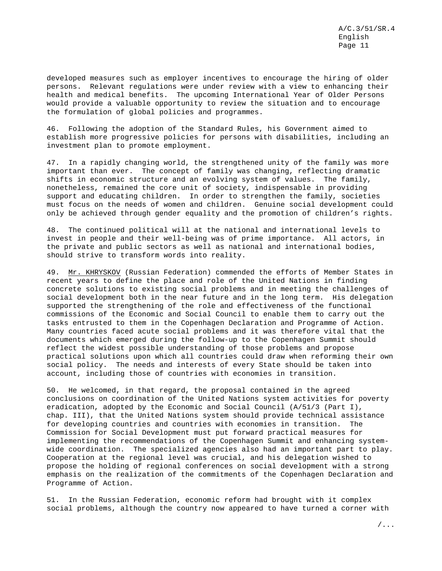developed measures such as employer incentives to encourage the hiring of older persons. Relevant regulations were under review with a view to enhancing their health and medical benefits. The upcoming International Year of Older Persons would provide a valuable opportunity to review the situation and to encourage the formulation of global policies and programmes.

46. Following the adoption of the Standard Rules, his Government aimed to establish more progressive policies for persons with disabilities, including an investment plan to promote employment.

47. In a rapidly changing world, the strengthened unity of the family was more important than ever. The concept of family was changing, reflecting dramatic shifts in economic structure and an evolving system of values. The family, nonetheless, remained the core unit of society, indispensable in providing support and educating children. In order to strengthen the family, societies must focus on the needs of women and children. Genuine social development could only be achieved through gender equality and the promotion of children's rights.

48. The continued political will at the national and international levels to invest in people and their well-being was of prime importance. All actors, in the private and public sectors as well as national and international bodies, should strive to transform words into reality.

49. Mr. KHRYSKOV (Russian Federation) commended the efforts of Member States in recent years to define the place and role of the United Nations in finding concrete solutions to existing social problems and in meeting the challenges of social development both in the near future and in the long term. His delegation supported the strengthening of the role and effectiveness of the functional commissions of the Economic and Social Council to enable them to carry out the tasks entrusted to them in the Copenhagen Declaration and Programme of Action. Many countries faced acute social problems and it was therefore vital that the documents which emerged during the follow-up to the Copenhagen Summit should reflect the widest possible understanding of those problems and propose practical solutions upon which all countries could draw when reforming their own social policy. The needs and interests of every State should be taken into account, including those of countries with economies in transition.

50. He welcomed, in that regard, the proposal contained in the agreed conclusions on coordination of the United Nations system activities for poverty eradication, adopted by the Economic and Social Council (A/51/3 (Part I), chap. III), that the United Nations system should provide technical assistance for developing countries and countries with economies in transition. The Commission for Social Development must put forward practical measures for implementing the recommendations of the Copenhagen Summit and enhancing systemwide coordination. The specialized agencies also had an important part to play. Cooperation at the regional level was crucial, and his delegation wished to propose the holding of regional conferences on social development with a strong emphasis on the realization of the commitments of the Copenhagen Declaration and Programme of Action.

51. In the Russian Federation, economic reform had brought with it complex social problems, although the country now appeared to have turned a corner with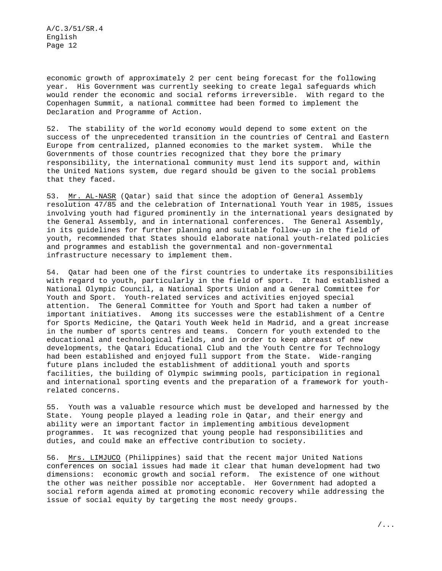economic growth of approximately 2 per cent being forecast for the following year. His Government was currently seeking to create legal safeguards which would render the economic and social reforms irreversible. With regard to the Copenhagen Summit, a national committee had been formed to implement the Declaration and Programme of Action.

52. The stability of the world economy would depend to some extent on the success of the unprecedented transition in the countries of Central and Eastern Europe from centralized, planned economies to the market system. While the Governments of those countries recognized that they bore the primary responsibility, the international community must lend its support and, within the United Nations system, due regard should be given to the social problems that they faced.

53. Mr. AL-NASR (Qatar) said that since the adoption of General Assembly resolution 47/85 and the celebration of International Youth Year in 1985, issues involving youth had figured prominently in the international years designated by the General Assembly, and in international conferences. The General Assembly, in its guidelines for further planning and suitable follow-up in the field of youth, recommended that States should elaborate national youth-related policies and programmes and establish the governmental and non-governmental infrastructure necessary to implement them.

54. Qatar had been one of the first countries to undertake its responsibilities with regard to youth, particularly in the field of sport. It had established a National Olympic Council, a National Sports Union and a General Committee for Youth and Sport. Youth-related services and activities enjoyed special attention. The General Committee for Youth and Sport had taken a number of important initiatives. Among its successes were the establishment of a Centre for Sports Medicine, the Qatari Youth Week held in Madrid, and a great increase in the number of sports centres and teams. Concern for youth extended to the educational and technological fields, and in order to keep abreast of new developments, the Qatari Educational Club and the Youth Centre for Technology had been established and enjoyed full support from the State. Wide-ranging future plans included the establishment of additional youth and sports facilities, the building of Olympic swimming pools, participation in regional and international sporting events and the preparation of a framework for youthrelated concerns.

55. Youth was a valuable resource which must be developed and harnessed by the State. Young people played a leading role in Qatar, and their energy and ability were an important factor in implementing ambitious development programmes. It was recognized that young people had responsibilities and duties, and could make an effective contribution to society.

56. Mrs. LIMJUCO (Philippines) said that the recent major United Nations conferences on social issues had made it clear that human development had two dimensions: economic growth and social reform. The existence of one without the other was neither possible nor acceptable. Her Government had adopted a social reform agenda aimed at promoting economic recovery while addressing the issue of social equity by targeting the most needy groups.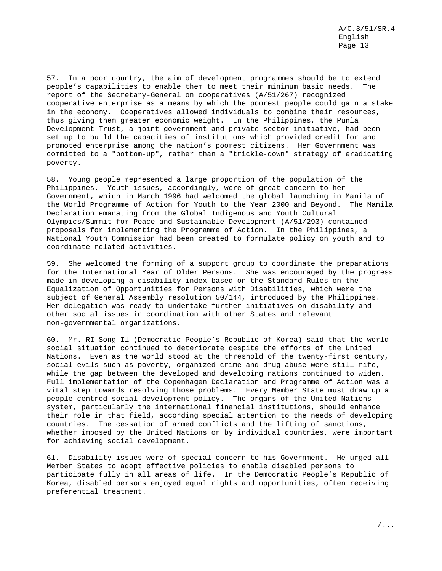57. In a poor country, the aim of development programmes should be to extend people's capabilities to enable them to meet their minimum basic needs. The report of the Secretary-General on cooperatives (A/51/267) recognized cooperative enterprise as a means by which the poorest people could gain a stake in the economy. Cooperatives allowed individuals to combine their resources, thus giving them greater economic weight. In the Philippines, the Punla Development Trust, a joint government and private-sector initiative, had been set up to build the capacities of institutions which provided credit for and promoted enterprise among the nation's poorest citizens. Her Government was committed to a "bottom-up", rather than a "trickle-down" strategy of eradicating poverty.

58. Young people represented a large proportion of the population of the Philippines. Youth issues, accordingly, were of great concern to her Government, which in March 1996 had welcomed the global launching in Manila of the World Programme of Action for Youth to the Year 2000 and Beyond. The Manila Declaration emanating from the Global Indigenous and Youth Cultural Olympics/Summit for Peace and Sustainable Development (A/51/293) contained proposals for implementing the Programme of Action. In the Philippines, a National Youth Commission had been created to formulate policy on youth and to coordinate related activities.

59. She welcomed the forming of a support group to coordinate the preparations for the International Year of Older Persons. She was encouraged by the progress made in developing a disability index based on the Standard Rules on the Equalization of Opportunities for Persons with Disabilities, which were the subject of General Assembly resolution 50/144, introduced by the Philippines. Her delegation was ready to undertake further initiatives on disability and other social issues in coordination with other States and relevant non-governmental organizations.

60. Mr. RI Song Il (Democratic People's Republic of Korea) said that the world social situation continued to deteriorate despite the efforts of the United Nations. Even as the world stood at the threshold of the twenty-first century, social evils such as poverty, organized crime and drug abuse were still rife, while the gap between the developed and developing nations continued to widen. Full implementation of the Copenhagen Declaration and Programme of Action was a vital step towards resolving those problems. Every Member State must draw up a people-centred social development policy. The organs of the United Nations system, particularly the international financial institutions, should enhance their role in that field, according special attention to the needs of developing countries. The cessation of armed conflicts and the lifting of sanctions, whether imposed by the United Nations or by individual countries, were important for achieving social development.

61. Disability issues were of special concern to his Government. He urged all Member States to adopt effective policies to enable disabled persons to participate fully in all areas of life. In the Democratic People's Republic of Korea, disabled persons enjoyed equal rights and opportunities, often receiving preferential treatment.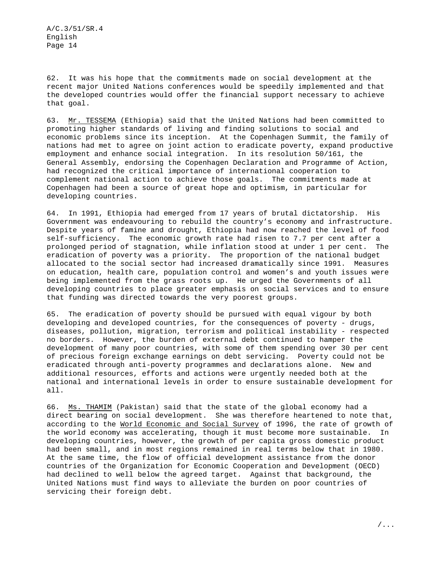62. It was his hope that the commitments made on social development at the recent major United Nations conferences would be speedily implemented and that the developed countries would offer the financial support necessary to achieve that goal.

63. Mr. TESSEMA (Ethiopia) said that the United Nations had been committed to promoting higher standards of living and finding solutions to social and economic problems since its inception. At the Copenhagen Summit, the family of nations had met to agree on joint action to eradicate poverty, expand productive employment and enhance social integration. In its resolution 50/161, the General Assembly, endorsing the Copenhagen Declaration and Programme of Action, had recognized the critical importance of international cooperation to complement national action to achieve those goals. The commitments made at Copenhagen had been a source of great hope and optimism, in particular for developing countries.

64. In 1991, Ethiopia had emerged from 17 years of brutal dictatorship. His Government was endeavouring to rebuild the country's economy and infrastructure. Despite years of famine and drought, Ethiopia had now reached the level of food self-sufficiency. The economic growth rate had risen to 7.7 per cent after a prolonged period of stagnation, while inflation stood at under 1 per cent. The eradication of poverty was a priority. The proportion of the national budget allocated to the social sector had increased dramatically since 1991. Measures on education, health care, population control and women's and youth issues were being implemented from the grass roots up. He urged the Governments of all developing countries to place greater emphasis on social services and to ensure that funding was directed towards the very poorest groups.

65. The eradication of poverty should be pursued with equal vigour by both developing and developed countries, for the consequences of poverty - drugs, diseases, pollution, migration, terrorism and political instability - respected no borders. However, the burden of external debt continued to hamper the development of many poor countries, with some of them spending over 30 per cent of precious foreign exchange earnings on debt servicing. Poverty could not be eradicated through anti-poverty programmes and declarations alone. New and additional resources, efforts and actions were urgently needed both at the national and international levels in order to ensure sustainable development for all.

66. Ms. THAMIM (Pakistan) said that the state of the global economy had a direct bearing on social development. She was therefore heartened to note that, according to the World Economic and Social Survey of 1996, the rate of growth of the world economy was accelerating, though it must become more sustainable. In developing countries, however, the growth of per capita gross domestic product had been small, and in most regions remained in real terms below that in 1980. At the same time, the flow of official development assistance from the donor countries of the Organization for Economic Cooperation and Development (OECD) had declined to well below the agreed target. Against that background, the United Nations must find ways to alleviate the burden on poor countries of servicing their foreign debt.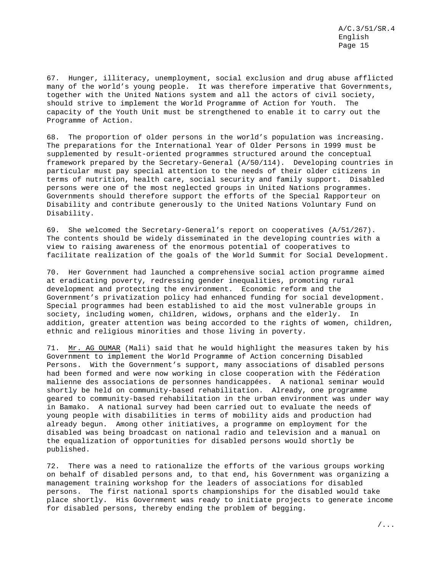67. Hunger, illiteracy, unemployment, social exclusion and drug abuse afflicted many of the world's young people. It was therefore imperative that Governments, together with the United Nations system and all the actors of civil society, should strive to implement the World Programme of Action for Youth. The capacity of the Youth Unit must be strengthened to enable it to carry out the Programme of Action.

68. The proportion of older persons in the world's population was increasing. The preparations for the International Year of Older Persons in 1999 must be supplemented by result-oriented programmes structured around the conceptual framework prepared by the Secretary-General (A/50/114). Developing countries in particular must pay special attention to the needs of their older citizens in terms of nutrition, health care, social security and family support. Disabled persons were one of the most neglected groups in United Nations programmes. Governments should therefore support the efforts of the Special Rapporteur on Disability and contribute generously to the United Nations Voluntary Fund on Disability.

69. She welcomed the Secretary-General's report on cooperatives (A/51/267). The contents should be widely disseminated in the developing countries with a view to raising awareness of the enormous potential of cooperatives to facilitate realization of the goals of the World Summit for Social Development.

70. Her Government had launched a comprehensive social action programme aimed at eradicating poverty, redressing gender inequalities, promoting rural development and protecting the environment. Economic reform and the Government's privatization policy had enhanced funding for social development. Special programmes had been established to aid the most vulnerable groups in society, including women, children, widows, orphans and the elderly. In addition, greater attention was being accorded to the rights of women, children, ethnic and religious minorities and those living in poverty.

71. Mr. AG OUMAR (Mali) said that he would highlight the measures taken by his Government to implement the World Programme of Action concerning Disabled Persons. With the Government's support, many associations of disabled persons had been formed and were now working in close cooperation with the Fédération malienne des associations de personnes handicappées. A national seminar would shortly be held on community-based rehabilitation. Already, one programme geared to community-based rehabilitation in the urban environment was under way in Bamako. A national survey had been carried out to evaluate the needs of young people with disabilities in terms of mobility aids and production had already begun. Among other initiatives, a programme on employment for the disabled was being broadcast on national radio and television and a manual on the equalization of opportunities for disabled persons would shortly be published.

72. There was a need to rationalize the efforts of the various groups working on behalf of disabled persons and, to that end, his Government was organizing a management training workshop for the leaders of associations for disabled persons. The first national sports championships for the disabled would take place shortly. His Government was ready to initiate projects to generate income for disabled persons, thereby ending the problem of begging.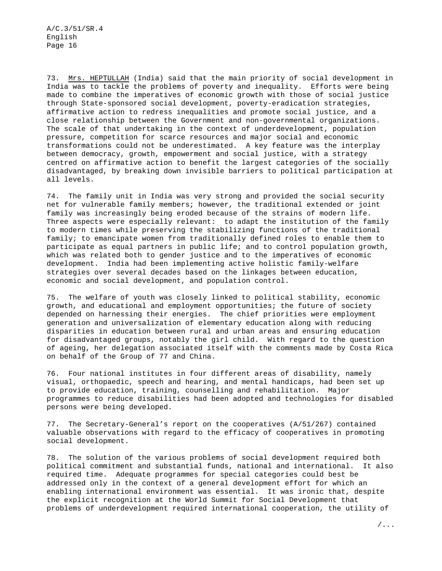73. Mrs. HEPTULLAH (India) said that the main priority of social development in India was to tackle the problems of poverty and inequality. Efforts were being made to combine the imperatives of economic growth with those of social justice through State-sponsored social development, poverty-eradication strategies, affirmative action to redress inequalities and promote social justice, and a close relationship between the Government and non-governmental organizations. The scale of that undertaking in the context of underdevelopment, population pressure, competition for scarce resources and major social and economic transformations could not be underestimated. A key feature was the interplay between democracy, growth, empowerment and social justice, with a strategy centred on affirmative action to benefit the largest categories of the socially disadvantaged, by breaking down invisible barriers to political participation at all levels.

74. The family unit in India was very strong and provided the social security net for vulnerable family members; however, the traditional extended or joint family was increasingly being eroded because of the strains of modern life. Three aspects were especially relevant: to adapt the institution of the family to modern times while preserving the stabilizing functions of the traditional family; to emancipate women from traditionally defined roles to enable them to participate as equal partners in public life; and to control population growth, which was related both to gender justice and to the imperatives of economic development. India had been implementing active holistic family-welfare strategies over several decades based on the linkages between education, economic and social development, and population control.

75. The welfare of youth was closely linked to political stability, economic growth, and educational and employment opportunities; the future of society depended on harnessing their energies. The chief priorities were employment generation and universalization of elementary education along with reducing disparities in education between rural and urban areas and ensuring education for disadvantaged groups, notably the girl child. With regard to the question of ageing, her delegation associated itself with the comments made by Costa Rica on behalf of the Group of 77 and China.

76. Four national institutes in four different areas of disability, namely visual, orthopaedic, speech and hearing, and mental handicaps, had been set up to provide education, training, counselling and rehabilitation. Major programmes to reduce disabilities had been adopted and technologies for disabled persons were being developed.

77. The Secretary-General's report on the cooperatives (A/51/267) contained valuable observations with regard to the efficacy of cooperatives in promoting social development.

78. The solution of the various problems of social development required both political commitment and substantial funds, national and international. It also required time. Adequate programmes for special categories could best be addressed only in the context of a general development effort for which an enabling international environment was essential. It was ironic that, despite the explicit recognition at the World Summit for Social Development that problems of underdevelopment required international cooperation, the utility of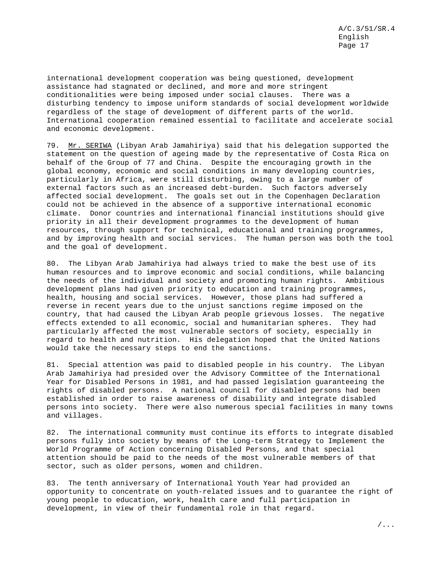international development cooperation was being questioned, development assistance had stagnated or declined, and more and more stringent conditionalities were being imposed under social clauses. There was a disturbing tendency to impose uniform standards of social development worldwide regardless of the stage of development of different parts of the world. International cooperation remained essential to facilitate and accelerate social and economic development.

79. Mr. SERIWA (Libyan Arab Jamahiriya) said that his delegation supported the statement on the question of ageing made by the representative of Costa Rica on behalf of the Group of 77 and China. Despite the encouraging growth in the global economy, economic and social conditions in many developing countries, particularly in Africa, were still disturbing, owing to a large number of external factors such as an increased debt-burden. Such factors adversely affected social development. The goals set out in the Copenhagen Declaration could not be achieved in the absence of a supportive international economic climate. Donor countries and international financial institutions should give priority in all their development programmes to the development of human resources, through support for technical, educational and training programmes, and by improving health and social services. The human person was both the tool and the goal of development.

80. The Libyan Arab Jamahiriya had always tried to make the best use of its human resources and to improve economic and social conditions, while balancing the needs of the individual and society and promoting human rights. Ambitious development plans had given priority to education and training programmes, health, housing and social services. However, those plans had suffered a reverse in recent years due to the unjust sanctions regime imposed on the country, that had caused the Libyan Arab people grievous losses. The negative effects extended to all economic, social and humanitarian spheres. They had particularly affected the most vulnerable sectors of society, especially in regard to health and nutrition. His delegation hoped that the United Nations would take the necessary steps to end the sanctions.

81. Special attention was paid to disabled people in his country. The Libyan Arab Jamahiriya had presided over the Advisory Committee of the International Year for Disabled Persons in 1981, and had passed legislation guaranteeing the rights of disabled persons. A national council for disabled persons had been established in order to raise awareness of disability and integrate disabled persons into society. There were also numerous special facilities in many towns and villages.

82. The international community must continue its efforts to integrate disabled persons fully into society by means of the Long-term Strategy to Implement the World Programme of Action concerning Disabled Persons, and that special attention should be paid to the needs of the most vulnerable members of that sector, such as older persons, women and children.

83. The tenth anniversary of International Youth Year had provided an opportunity to concentrate on youth-related issues and to guarantee the right of young people to education, work, health care and full participation in development, in view of their fundamental role in that regard.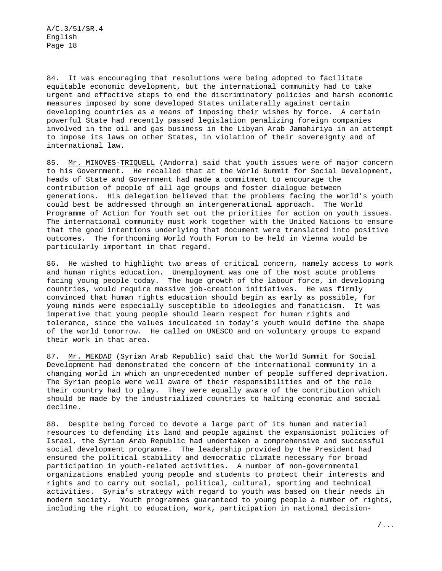84. It was encouraging that resolutions were being adopted to facilitate equitable economic development, but the international community had to take urgent and effective steps to end the discriminatory policies and harsh economic measures imposed by some developed States unilaterally against certain developing countries as a means of imposing their wishes by force. A certain powerful State had recently passed legislation penalizing foreign companies involved in the oil and gas business in the Libyan Arab Jamahiriya in an attempt to impose its laws on other States, in violation of their sovereignty and of international law.

85. Mr. MINOVES-TRIQUELL (Andorra) said that youth issues were of major concern to his Government. He recalled that at the World Summit for Social Development, heads of State and Government had made a commitment to encourage the contribution of people of all age groups and foster dialogue between generations. His delegation believed that the problems facing the world's youth could best be addressed through an intergenerational approach. The World Programme of Action for Youth set out the priorities for action on youth issues. The international community must work together with the United Nations to ensure that the good intentions underlying that document were translated into positive outcomes. The forthcoming World Youth Forum to be held in Vienna would be particularly important in that regard.

86. He wished to highlight two areas of critical concern, namely access to work and human rights education. Unemployment was one of the most acute problems facing young people today. The huge growth of the labour force, in developing countries, would require massive job-creation initiatives. He was firmly convinced that human rights education should begin as early as possible, for young minds were especially susceptible to ideologies and fanaticism. It was imperative that young people should learn respect for human rights and tolerance, since the values inculcated in today's youth would define the shape of the world tomorrow. He called on UNESCO and on voluntary groups to expand their work in that area.

87. Mr. MEKDAD (Syrian Arab Republic) said that the World Summit for Social Development had demonstrated the concern of the international community in a changing world in which an unprecedented number of people suffered deprivation. The Syrian people were well aware of their responsibilities and of the role their country had to play. They were equally aware of the contribution which should be made by the industrialized countries to halting economic and social decline.

88. Despite being forced to devote a large part of its human and material resources to defending its land and people against the expansionist policies of Israel, the Syrian Arab Republic had undertaken a comprehensive and successful social development programme. The leadership provided by the President had ensured the political stability and democratic climate necessary for broad participation in youth-related activities. A number of non-governmental organizations enabled young people and students to protect their interests and rights and to carry out social, political, cultural, sporting and technical activities. Syria's strategy with regard to youth was based on their needs in modern society. Youth programmes guaranteed to young people a number of rights, including the right to education, work, participation in national decision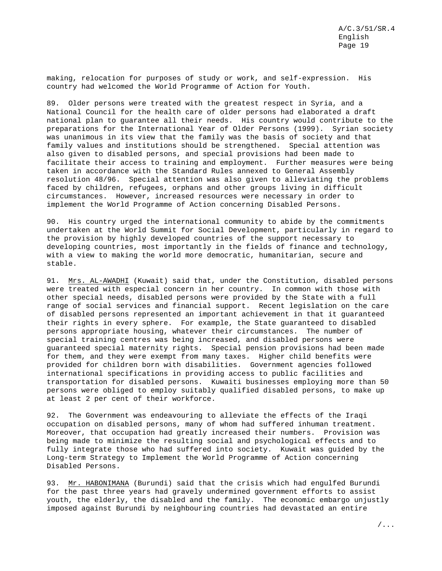making, relocation for purposes of study or work, and self-expression. His country had welcomed the World Programme of Action for Youth.

89. Older persons were treated with the greatest respect in Syria, and a National Council for the health care of older persons had elaborated a draft national plan to guarantee all their needs. His country would contribute to the preparations for the International Year of Older Persons (1999). Syrian society was unanimous in its view that the family was the basis of society and that family values and institutions should be strengthened. Special attention was also given to disabled persons, and special provisions had been made to facilitate their access to training and employment. Further measures were being taken in accordance with the Standard Rules annexed to General Assembly resolution 48/96. Special attention was also given to alleviating the problems faced by children, refugees, orphans and other groups living in difficult circumstances. However, increased resources were necessary in order to implement the World Programme of Action concerning Disabled Persons.

90. His country urged the international community to abide by the commitments undertaken at the World Summit for Social Development, particularly in regard to the provision by highly developed countries of the support necessary to developing countries, most importantly in the fields of finance and technology, with a view to making the world more democratic, humanitarian, secure and stable.

91. Mrs. AL-AWADHI (Kuwait) said that, under the Constitution, disabled persons were treated with especial concern in her country. In common with those with other special needs, disabled persons were provided by the State with a full range of social services and financial support. Recent legislation on the care of disabled persons represented an important achievement in that it guaranteed their rights in every sphere. For example, the State guaranteed to disabled persons appropriate housing, whatever their circumstances. The number of special training centres was being increased, and disabled persons were guaranteed special maternity rights. Special pension provisions had been made for them, and they were exempt from many taxes. Higher child benefits were provided for children born with disabilities. Government agencies followed international specifications in providing access to public facilities and transportation for disabled persons. Kuwaiti businesses employing more than 50 persons were obliged to employ suitably qualified disabled persons, to make up at least 2 per cent of their workforce.

92. The Government was endeavouring to alleviate the effects of the Iraqi occupation on disabled persons, many of whom had suffered inhuman treatment. Moreover, that occupation had greatly increased their numbers. Provision was being made to minimize the resulting social and psychological effects and to fully integrate those who had suffered into society. Kuwait was guided by the Long-term Strategy to Implement the World Programme of Action concerning Disabled Persons.

93. Mr. HABONIMANA (Burundi) said that the crisis which had engulfed Burundi for the past three years had gravely undermined government efforts to assist youth, the elderly, the disabled and the family. The economic embargo unjustly imposed against Burundi by neighbouring countries had devastated an entire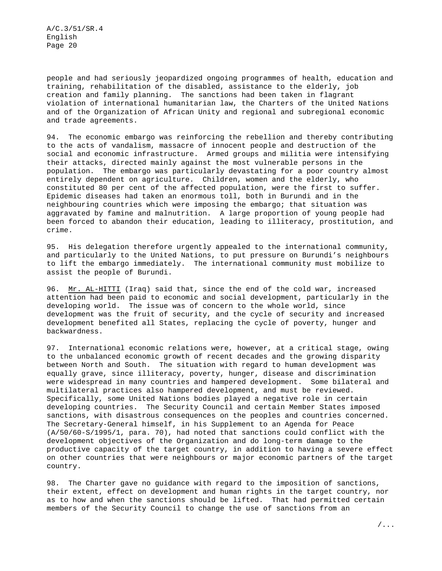people and had seriously jeopardized ongoing programmes of health, education and training, rehabilitation of the disabled, assistance to the elderly, job creation and family planning. The sanctions had been taken in flagrant violation of international humanitarian law, the Charters of the United Nations and of the Organization of African Unity and regional and subregional economic and trade agreements.

94. The economic embargo was reinforcing the rebellion and thereby contributing to the acts of vandalism, massacre of innocent people and destruction of the social and economic infrastructure. Armed groups and militia were intensifying their attacks, directed mainly against the most vulnerable persons in the population. The embargo was particularly devastating for a poor country almost entirely dependent on agriculture. Children, women and the elderly, who constituted 80 per cent of the affected population, were the first to suffer. Epidemic diseases had taken an enormous toll, both in Burundi and in the neighbouring countries which were imposing the embargo; that situation was aggravated by famine and malnutrition. A large proportion of young people had been forced to abandon their education, leading to illiteracy, prostitution, and crime.

95. His delegation therefore urgently appealed to the international community, and particularly to the United Nations, to put pressure on Burundi's neighbours to lift the embargo immediately. The international community must mobilize to assist the people of Burundi.

96. Mr. AL-HITTI (Iraq) said that, since the end of the cold war, increased attention had been paid to economic and social development, particularly in the developing world. The issue was of concern to the whole world, since development was the fruit of security, and the cycle of security and increased development benefited all States, replacing the cycle of poverty, hunger and backwardness.

97. International economic relations were, however, at a critical stage, owing to the unbalanced economic growth of recent decades and the growing disparity between North and South. The situation with regard to human development was equally grave, since illiteracy, poverty, hunger, disease and discrimination were widespread in many countries and hampered development. Some bilateral and multilateral practices also hampered development, and must be reviewed. Specifically, some United Nations bodies played a negative role in certain developing countries. The Security Council and certain Member States imposed sanctions, with disastrous consequences on the peoples and countries concerned. The Secretary-General himself, in his Supplement to an Agenda for Peace (A/50/60-S/1995/1, para. 70), had noted that sanctions could conflict with the development objectives of the Organization and do long-term damage to the productive capacity of the target country, in addition to having a severe effect on other countries that were neighbours or major economic partners of the target country.

98. The Charter gave no guidance with regard to the imposition of sanctions, their extent, effect on development and human rights in the target country, nor as to how and when the sanctions should be lifted. That had permitted certain members of the Security Council to change the use of sanctions from an